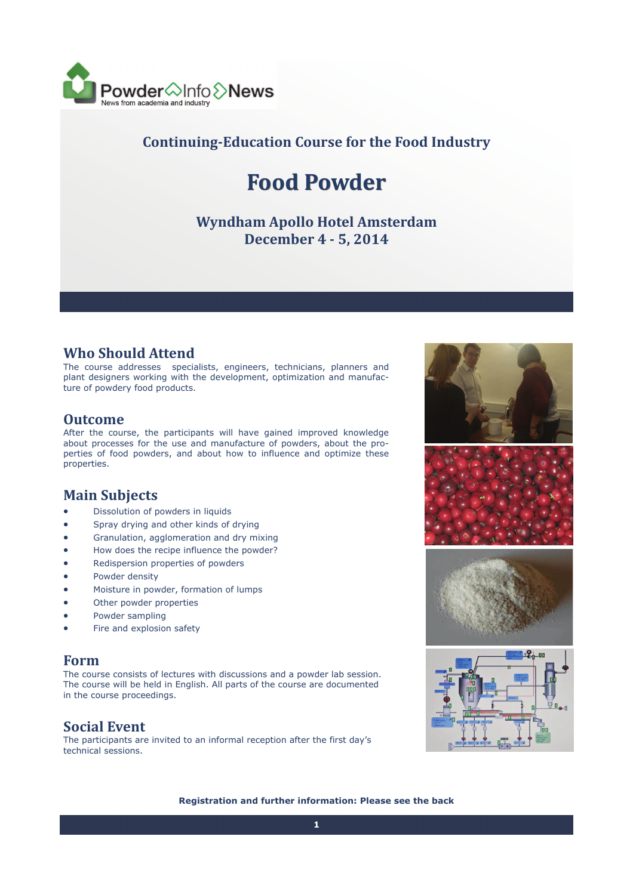

## **Continuing‐Education Course for the Food Industry**

# **Food Powder**

### **Wyndham Apollo Hotel Amsterdam December 4 ‐ 5, 2014**

#### **Who Should Attend**

The course addresses specialists, engineers, technicians, planners and plant designers working with the development, optimization and manufacture of powdery food products.

#### **Outcome**

After the course, the participants will have gained improved knowledge about processes for the use and manufacture of powders, about the properties of food powders, and about how to influence and optimize these properties.

## **Main Subjects**

- Dissolution of powders in liquids
- Spray drying and other kinds of drying
- Granulation, agglomeration and dry mixing
- How does the recipe influence the powder?
- Redispersion properties of powders
- Powder density
- Moisture in powder, formation of lumps
- Other powder properties
- Powder sampling
- Fire and explosion safety

#### **Form**

The course consists of lectures with discussions and a powder lab session. The course will be held in English. All parts of the course are documented in the course proceedings.

#### **Social Event**

The participants are invited to an informal reception after the first day's technical sessions.





**Registration and further information: Please see the back**